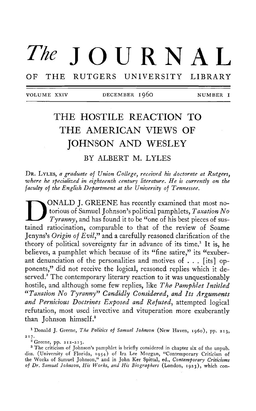# *The JOURNAL*

OF THE RUTGERS UNIVERSITY LIBRARY

VOLUM E XXIV DECEMBE R I96 0 NUMBE R **I** 

# **THE HOSTILE REACTION TO THE AMERICAN VIEWS OF JOHNSON AND WESLEY**

BY ALBERT M. LYLES

DR. LYLES, *a graduate of Union Collegey received his doctorate at Rutgers, where he sfecialixed in eighteenth century literature. He is currently on the faculty of the English Department at the University of Tennessee.* 

ONALD J. GREENE has recently examined that most no-<br>torious of Samuel Johnson's political pamphlets, *Taxation No*<br>Tyranny, and has found it to be "one of his best pieces of sus-<br>tained ratiocination, comparable to that of ONALD J. GREENE has recently examined that most notorious of Samuel Johnson's political pamphlets, *Taxation No Tyranny*, and has found it to be "one of his best pieces of sus-Jenyns's *Origin of Evil*," and a carefully reasoned clarification of the theory of political sovereignty far in advance of its time.<sup>1</sup> It is, he believes, a pamphlet which because of its "fine satire," its "exuberant denunciation of the personalities and motives of . . . [its] opponents," did not receive the logical, reasoned replies which it deserved.<sup>2</sup> The contemporary literary reaction to it was unquestionably hostile, and although some few replies, like *The Pamphlet Intitled "Taxation No Tyrannyyy Candidly Consideredy and Its Arguments and Pernicious Doctrines Exposed and Refuted*, attempted logical refutation, most used invective and vituperation more exuberantly than Johnson himself.<sup>3</sup>

<sup>1</sup> Donald J. Greene, *The Politics of Samuel Johnson* (New Haven, 1960), pp. 213, **217 .** 

**2 Greene, pp. 212-213 .** 

<sup>3</sup> The criticism of Johnson's pamphlet is briefly considered in chapter six of the unpub. **diss. (University of Florida, 1954) of Ira Lee Morgan, "Contemporary Criticism of the Works of Samuel Johnson," and in John Ker Spittal, ed.}** *Contemporary Criticisms of Dr. Samuel Johnson, His Works, and His Biographers* **(London, 1923), which con-**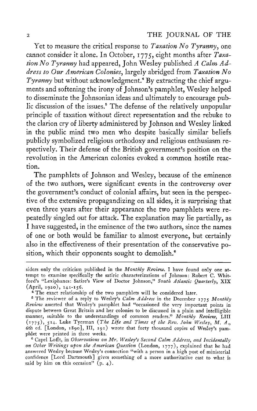Yet to measure the critical response to *Taxation No Tyranny*, one cannot consider it alone. In October, 1775, eight months after *Taxation No Tyranny* had appeared, John Wesley published *A Calm Address to Our American Colonies*, largely abridged from *Taxation No*  Tyranny but without acknowledgment.<sup>4</sup> By extracting the chief arguments and softening the irony of Johnson's pamphlet, Wesley helped to disseminate the Johnsonian ideas and ultimately to encourage public discussion of the issues.<sup>5</sup> The defense of the relatively unpopular principle of taxation without direct representation and the rebuke to the clarion cry of liberty administered by Johnson and Wesley linked in the public mind two men who despite basically similar beliefs publicly symbolized religious orthodoxy and religious enthusiasm respectively. Their defense of the British government's position on the revolution in the American colonies evoked a common hostile reaction.

The pamphlets of Johnson and Wesley, because of the eminence of the two authors, were significant events in the controversy over the government's conduct of colonial affairs, but seen in the perspective of the extensive propagandizing on all sides, it is surprising that even three years after their appearance the two pamphlets were repeatedly singled out for attack. The explanation may lie partially, as I have suggested, in the eminence of the two authors, since the names of one or both would be familiar to almost everyone, but certainly also in the effectiveness of their presentation of the conservative position, which their opponents sought to demolish.<sup>6</sup>

**siders only the criticism published in the** *Monthly Review.* **I have found only one attempt to examine specifically the satiric characterizations of Johnson: Robert C. Whitford's "Lexiphanes : Satire's View of Doctor Johnson,"** *South Atlantic Quarterly***, XI X (April, 1920), 141-156 .** 

**<sup>4</sup> The exact relationship of the two pamphlets will be considered later.** 

<sup>&</sup>lt;sup>5</sup> The reviewer of a reply to Wesley's *Calm Address* in the December 1775 Monthly *Review* **asserted that Wesley's pamphlet had "occasioned the very important points in dispute between Great Britain and her colonies to be discussed in a plain and intelligible manner, suitable to the understandings of common readers."** *Monthly Review,* **LIII**   $(1775)$ , 514. Luke Tyerman (*The Life and Times of the Rev. John Wesley, M. A.*, **6th ed. [London, 1890], III, 191) wrote that forty thousand copies of Wesley's pamphlet were printed in three weeks.** 

**<sup>6</sup> Capel Lofft, in** *Observations on Mr. Wesley's Second Calm Address, and Incidentally on Other Writings ufon the American Question* **(London, 1777), explained that he had answered Wesley because Wesley's connection "with a person in a high post of ministerial confidence [Lord Dartmouth] gives something of a more authoritative cast to what is said by him on this occasion" (p. 4).**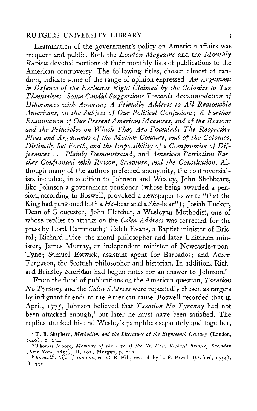Examination of the government's policy on American affairs was frequent and public. Both the *London Magazine* and the *Monthly Review* devoted portions of their monthly lists of publications to the American controversy. The following titles, chosen almost at random, indicate some of the range of opinion expressed: *An Argument in Defence of the Exclusive Right Claimed by the Colonies to Tax Themselves; Some Candid Suggestions Towards Accommodation of Differences with America; A Friendly Address to All Reasonable Americansy on the Subject of Our Political Confusions; A Farther Examination of Our Present American Measures*, and of the Reasons *and the Principles on Which They Are Founded; The Respective Pleas and Arguments of the Mother Countryy and of the Colonies<sup>y</sup> Distinctly Set Forthy and the Impossibility of a Compromise of Differences . . . Plainly Demonstratedy* and *American Patriotism Farther Confronted with Reasony Scripturey and the Constitution.* Although many of the authors preferred anonymity, the controversialists included, in addition to Johnson and Wesley, John Shebbeare, like Johnson a government pensioner (whose being awarded a pension, according to Boswell, provoked a newspaper to write "that the King had pensioned both a *He*-bear and a *She*-bear"); Josiah Tucker, Dean of Gloucester: John Fletcher, a Wesleyan Methodist, one of whose replies to attacks on the *Calm Address* was corrected for the press by Lord Dartmouth;<sup>7</sup> Caleb Evans, a Baptist minister of Bristol; Richard Price, the moral philosopher and later Unitarian minister: James Murray, an independent minister of Newcastle-upon-Tyne; Samuel Estwick, assistant agent for Barbados; and Adam Ferguson, the Scottish philosopher and historian. In addition, Richard Brinsley Sheridan had begun notes for an answer to Johnson.<sup>8</sup>

From the flood of publications on the American question, *Taxation No Tyranny* and the *Calm Address* were repeatedly chosen as targets by indignant friends to the American cause. Boswell recorded that in April, 1775, Johnson believed that *Taxation No Tyranny* had not been attacked enough,<sup>9</sup> but later he must have been satisfied. The replies attacked his and Wesley's pamphlets separately and together,

**<sup>7</sup> T . B. Shepherd,** *Methodism, and the Literature of the Eighteenth Century* **(London,**  1940), p. 234.

**<sup>8</sup> Thomas Moore,** *Memoirs of the Life of the Rt. Hon. Richard Brinsley Sheridan*  **(New York, 1853), II, 101; Morgan, p. 240.** 

<sup>&</sup>lt;sup>9</sup> Boswell's Life of Johnson, ed. G. B. Hill, rev. ed. by L. F. Powell (Oxford, 1934), **II, 335-**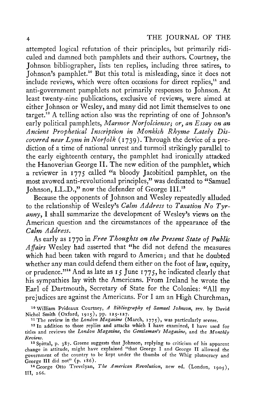attempted logical refutation of their principles, but primarily ridiculed and damned both pamphlets and their authors. Courtney, the Johnson bibliographer, lists ten replies, including three satires, to Johnson's pamphlet.<sup>10</sup> But this total is misleading, since it does not include reviews, which were often occasions for direct replies,<sup>11</sup> and anti-government pamphlets not primarily responses to Johnson. At least twenty-nine publications, exclusive of reviews, were aimed at either Johnson or Wesley, and many did not limit themselves to one target.<sup>12</sup> A telling action also was the reprinting of one of Johnson's early political pamphlets, Marmor Norfolciense; or, an Essay on an *Ancient Prophetical Inscription in Monkish Rhyme Lately Discovered near Lynn in Norfolk* (1739). Through the device of a prediction of a time of national unrest and turmoil strikingly parallel to the early eighteenth century, the pamphlet had ironically attacked the Hanoverian George II. The new edition of the pamphlet, which a reviewer in 1775 called "a bloody Jacobitical pamphlet, on the most avowed anti-revolutional principles," was dedicated to "Samuel Johnson, LL.D.," now the defender of George III.<sup>18</sup>

Because the opponents of Johnson and Wesley repeatedly alluded to the relationship of Wesley's *Calm Address* to *Taxation No Tyranny,* I shall summarize the development of Wesley's views on the American question and the circumstances of the appearance of the *Calm Address.* 

As early as 1770 in *Free Thoughts on the Present State of Public Affairs* Wesley had asserted that "he did not defend the measures which had been taken with regard to America; and that he doubted whether any man could defend them either on the foot of law, equity, or prudence."<sup>14</sup> And as late as 15 June 1775, he indicated clearly that his sympathies lay with the Americans. From Ireland he wrote the Earl of Dartmouth, Secretary of State for the Colonies: "All my prejudices are against the Americans. For I am an High Churchman,

**1 0 William Prideaux Courtney,** *A Bibliography of Samuel Johnson***, rev. by David Nichol Smith (Oxford, 1915), pp. 125-127 .** 

**1 1 The review in the** *London Magazine* **(March, 1775), was particularly severe.** 

**1 2 In addition to those replies and attacks which I have examined, I have used for titles and reviews the** *London Magazine***, the** *Gentleman's Magazine***, and the** *Monthly Review.* 

**1 3 Spittal, p. 387. Greene suggests that Johnson, replying to criticism of his apparent change in attitude, might have explained "that George I and George II allowed the government of the country to be kept under the thumbs of the Whig plutocracy and George III did not" (p. 186).** 

**1 4 George Otto Trevelyan,** *The American Revolution***, new ed. (London, 1905), III, 266.**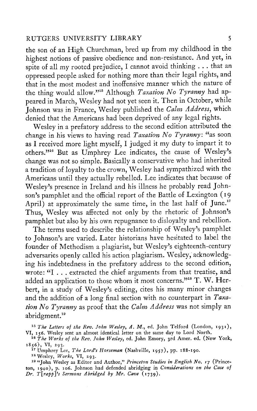the son of an High Churchman, bred up from my childhood in the highest notions of passive obedience and non-resistance. And yet, in spite of all my rooted prejudice, I cannot avoid thinking . . . that an oppressed people asked for nothing more than their legal rights, and that in the most modest and inoffensive manner which the nature of the thing would allow."<sup>15</sup> Although *Taxation No Tyranny* had appeared in March, Wesley had not yet seen it. Then in October, while Johnson was in France, Wesley published the *Calm Address*, which denied that the Americans had been deprived of any legal rights.

Wesley in a prefatory address to the second edition attributed the change in his views to having read *Taxation No Tyranny* : "as soon as I received more light myself, I judged it my duty to impart it to others."<sup>16</sup> But as Umphrey Lee indicates, the cause of Wesley's change was not so simple. Basically a conservative who had inherited a tradition of loyalty to the crown, Wesley had sympathized with the Americans until they actually rebelled. Lee indicates that because of Wesley's presence in Ireland and his illness he probably read Johnson's pamphlet and the official report of the Battle of Lexington ( 19 April) at approximately the same time, in the last half of June.<sup>17</sup> Thus, Wesley was affected not only by the rhetoric of Johnson's pamphlet but also by his own repugnance to disloyalty and rebellion.

The terms used to describe the relationship of Wesley's pamphlet to Johnson's are varied. Later historians have hesitated to label the founder of Methodism a plagiarist, but Wesley's eighteenth-century adversaries openly called his action plagiarism. Wesley, acknowledging his indebtedness in the prefatory address to the second edition, wrote: "I . . . extracted the chief arguments from that treatise, and added an application to those whom it most concerns." $^{\rm 394}$  T. W. Herbert, in a study of Wesley's editing, cites his many minor changes and the addition of a long final section with no counterpart in *Taxation No Tyranny* as proof that the *Calm Address* was not simply an abridgment.<sup>19</sup>

*<sup>15</sup> The Letters of the Rev. John Wesley, A.* **M., ed. John Telford (London, 1931), VI, 156. Wesley sent an almost identical letter on the same day to Lord North.** 

*<sup>16</sup> The Works of the Rev. John Wesleyy* **ed. John Emory, 3rd Amer. ed. (New York, 1856), VI, 293.** 

**1 7 Umphrey Lee,** *The Lord's Horseman* **(Nashville, 1957), pp. 188-190.** 

**1 8 Wesley,** *Works***, VI, 293.** 

**1 9 "John Wesley as Editor and Author,"** *Princeton Studies in English No. 17* **(Princeton, 1940), p. 106. Johnson had defended abridging in** *Considerations on the Case of Dr. T\raffYs Sermons Abridged by Mr. Cave* **(1739).**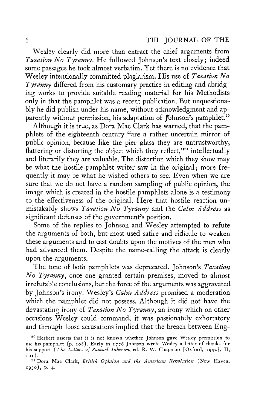Wesley clearly did more than extract the chief arguments from *Taxation No Tyranny*. He followed Johnson's text closely; indeed some passages he took almost verbatim. Yet there is no evidence that Wesley intentionally committed plagiarism. His use of *Taxation No Tyranny* differed from his customary practice in editing and abridging works to provide suitable reading material for his Methodists only in that the pamphlet was a recent publication. But unquestionably he did publish under his name, without acknowledgment and apparently without permission, his adaptation of Fohnson's pamphlet.<sup>20</sup>

Although it is true, as Dora Mae Clark has warned, that the pamphlets of the eighteenth century "are a rather uncertain mirror of public opinion, because like the pier glass they are untrustworthy, flattering or distorting the object which they reflect,"<sup>21</sup> intellectually and literarily they are valuable. The distortion which they show may be what the hostile pamphlet writer saw in the original; more frequently it may be what he wished others to see. Even when we are sure that we do not have a random sampling of public opinion, the image which is created in the hostile pamphlets alone is a testimony to the effectiveness of the original. Here that hostile reaction unmistakably shows *Taxation No Tyranny* and the *Calm Address* as significant defenses of the government's position.

Some of the replies to Johnson and Wesley attempted to refute the arguments of both, but most used satire and ridicule to weaken these arguments and to cast doubts upon the motives of the men who had advanced them. Despite the name-calling the attack is clearly upon the arguments.

The tone of both pamphlets was deprecated. Johnson's *Taxation No Tyranny*, once one granted certain premises, moved to almost irrefutable conclusions, but the force of the arguments was aggravated by Johnson's irony. Wesley's *Calm Address* promised a moderation which the pamphlet did not possess. Although it did not have the devastating irony of *Taxation No Tyranny*, an irony which on other occasions Wesley could command, it was passionately exhortatory and through loose accusations implied that the breach between Eng-

**<sup>2</sup> 0 Herbert asserts that it is not known whether Johnson gave Wesley permission to use his pamphlet (p. 108). Early in 1776 Johnson wrote Wesley a letter of thanks for his support (***T he Letters of Samuel Johnson***, ed. R. W. Chapman [Oxford, 1952], II, 101).** 

**<sup>2</sup> 1 Dora Mae Clark,** *British Ofinion and the American Revolution* **(New Haven, 1930), p. 4.**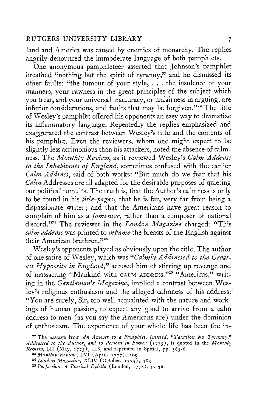land and America was caused by enemies of monarchy. The replies angrily denounced the immoderate language of both pamphlets.

One anonymous pamphleteer asserted that Johnson's pamphlet breathed "nothing but the spirit of tyranny," and he dismissed its other faults: "the tumour of your style, . . . the insolence of your manners, your rawness in the great principles of the subject which you treat, and your universal inaccuracy, or unfairness in arguing, are inferior considerations, and faults that may be forgiven."<sup>22</sup> The title of Wesley's pamphfet offered his opponents an easy way to dramatize its inflammatory language. Repeatedly the replies emphasized and exaggerated the contrast between Wesley's title and the contents of his pamphlet. Even the reviewers, whom one might expect to be slightly less acrimonious than his attackers, noted the absence of calmness. The *Monthly Review*, as it reviewed Wesley's *Calm Address to the Inhabitants of England*, sometimes confused with the earlier *Calm Address*, said of both works: "But much do we fear that his *Calm* Addresses are ill adapted for the desirable purposes of quieting our political tumults. The truth is, that the Author's calmness is only to be found in his *title-pages*; that he is far, very far from being a dispassionate writer; and that the Americans have great reason to complain of him as a *fomenter*, rather than a composer of national discord."<sup>23</sup> The reviewer in the *London Magazine* charged: "This *calm address* was printed to *inflame* the breasts of the English against their American brethren."<sup>24</sup>

Wesley's opponents played as obviously upon the title. The author of one satire of Wesley, which was *<sup>u</sup>Calmly Addressed to the Greatest Hypocrite in England*," accused him of stirring up revenge and of massacring "Mankind with calm address."<sup>25</sup> "Americus," writing in the *Gentleman<sup>y</sup> s Magazine*, implied a contrast between Wesley's religious enthusiasm and the alleged calmness of his address: "You are surely, Sir, too well acquainted with the nature and workings of human passion, to expect any good to arrive from a calm address to men (as you say the Americans are) under the dominion of enthusiasm. The experience of your whole life has been the in-

**<sup>2</sup> 2 The passage from** *An Answer to a Pamphlet, Intitled, "Taxation No Tyranny" Addressed to the Author, and to Persons in Power* **(1775), is quoted in the** *Monthly Review,* **LII (May, 1775), 446, and reprinted in Spittal, pp. 365-6.**  *<sup>23</sup> Monthly Review***, LVI (April, 1777), 309.** 

*<sup>24</sup>London Magazine***, XLIV (October, 1775), 483.** 

*<sup>25</sup> Perfection. A Poetical Epistle* **(London, 1778), p. 36.**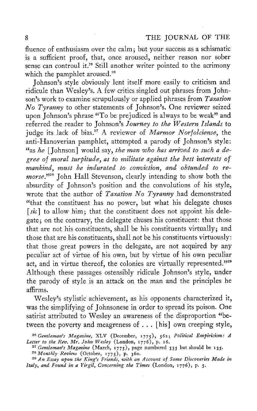fluence of enthusiasm over the calm; but your success as a schismatic is a sufficient proof, that, once aroused, neither reason nor sober sense can controul it." Still another writer pointed to the acrimony which the pamphlet aroused.<sup>26</sup>

Johnson's style obviously lent itself more easily to criticism and ridicule than Wesley's. A few critics singled out phrases from Johnson's work to examine scrupulously or applied phrases from *Taxation No Tyranny* to other statements of Johnson's. One reviewer seized upon Johnson's phrase "To be prejudiced is always to be weak" and<br>referred the reader to Johnson's Journey to the Western Islands to referred the reader to Johnson's *Journey to the Western Islands* to judge its lack of bias.<sup>27</sup> A reviewer of *Marmor Norfolciense*, the anti-Hanoverian pamphlet, attempted a parody of Johnson's style: "as *he* [Johnson] would say, *the man who has arrived to such a degree of moral turfitude, as to militate against the best interests of*  mankind, must be indurated to conviction, and obtunded to remorse."<sup>28</sup> John Hall Stevenson, clearly intending to show both the absurdity of Johnson's position and the convolutions of his style, wrote that the author of *Taxation No Tyranny* had demonstrated "that the constituent has no power, but what his delegate chuses [sic] to allow him; that the constituent does not appoint his delegate; on the contrary, the delegate chuses his constituent: that those that are not his constituents, shall be his constituents virtually; and those that are his constituents, shall not be his constituents virtuously: that those great powers in the delegate, are not acquired by any peculiar act of virtue of his own, but by virtue of his own peculiar act, and in virtue thereof, the colonies are virtually represented."229 Although these passages ostensibly ridicule Johnson's style, under the parody of style is an attack on the man and the principles he affirms.

Wesley's stylistic achievement, as his opponents characterized it, was the simplifying of Johnsonese in order to spread its poison. One satirist attributed to Wesley an awareness of the disproportion "between the poverty and meagreness of . . . [his] own creeping style,

*<sup>26</sup> Gentleman''s Magazine***, XL V (December, 1775), 562 ;** *Political Empiricism : A Letter to the Rev. Mr. John Wesley* **(London, 1776), p. 16.** 

*<sup>27</sup> Gentleman's Magazine* **(March, 1775), page numbered 33 5 but should be 135 .** 

*<sup>28</sup> Monthly Revie<uu* **(October, 1775), p. 360.** 

*<sup>29</sup> An Essay ufon the King's Friends, with an Account of Some Discoveries Made in Italy, and Found in a Virgil, Concerning the Times* **(London, 1776), p. 5.**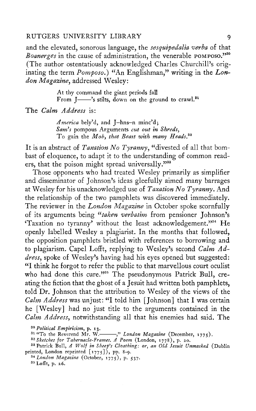and the elevated, sonorous language, the *sesquipedalia verba* of that *Boanerges* in the cause of administration, the venerable POMPOSO."<sup>30</sup> (The author ostentatiously acknowledged Charles Churchill's originating the term *Pomposo*.) "An Englishman," writing in the Lon*don Magazine*, addressed Wesley:

> At thy command the giant periods fall From  $\left[\frac{3}{100}\right]$  is stilts, down on the ground to crawl.<sup>31</sup>

The *Calm Address* is:

*America* bely'd, and J—hns—n minc'd; *Sam's* pompous Arguments *cut out in Shreds,*  To gain the *Moby that Beast with many Heads.<sup>32</sup>*

It is an abstract of *Taxation No Tyranny*, "divested of all that bombast of eloquence, to adapt it to the understanding of common readers, that the poison might spread universally."33

Those opponents who had treated Wesley primarily as simplifier and disseminator of Johnson's ideas gleefully aimed many barrages at Wesley for his unacknowledged use of *Taxation No Tyranny*. And the relationship of the two pamphlets was discovered immediately. The reviewer in the *London Magazine* in October spoke scornfully of its arguments being "*taken verbatim* from pensioner Johnson's Taxation no tyranny' without the least acknowledgement."<sup>34</sup> He openly labelled Wesley a plagiarist. In the months that followed, the opposition pamphlets bristled with references to borrowing and to plagiarism. Capel Lofft, replying to Wesley's second *Calm Address*, spoke of Wesley's having had his eyes opened but suggested: "I think he forgot to refer the public to that marvellous court oculist who had done this cure."<sup>35</sup> The pseudonymous Patrick Bull, creating the fiction that the ghost of a Jesuit had written both pamphlets, told Dr. Johnson that the attribution to Wesley of the views of the *Calm Address* was unjust: "I told him [Johnson] that I was certain he [Wesley] had no just title to the arguments contained in the *Calm Address*, notwithstanding all that his enemies had said. The

*<sup>30</sup> Political Empiricism***, p. 13.** 

<sup>31</sup> "To the Reverend Mr. W.<sup>*//</sup> London Magazine* (December, 1775).<br><sup>32</sup> Sketches for Tabernacle-Frames. A Poem (London, 1778), p. 20.</sup>

*<sup>34</sup> London Magazine* **(October, 1775), p. 537. 3 5 Lofft, p. 26.** 

**<sup>3</sup> 3 Patrick Bull,** *A Wolf in Sheef's Cloathing: or, an Old Jesuit Unmasked* **(Dublin printed, London reprinted [1775]), pp. 8-9.**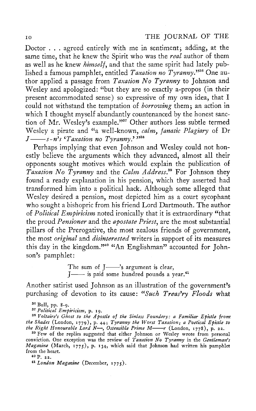Doctor . . . agreed entirely with me in sentiment; adding, at the same time, that he knew the Spirit who was the *real* author of them as well as he knew *himself*, and that the same spirit had lately published a famous pamphlet, entitled *Taxation no Tyranny*."<sup>36</sup> One author applied a passage from *Taxation No Tyranny* to Johnson and Wesley and apologized: "but they are so exactly a-propos (in their present accommodated sense) so expressive of my own idea, that I could not withstand the temptation of *borrowing* them; an action in which I thought myself abundantly countenanced by the honest sanction of Mr. Wesley's example."<sup>37</sup> Other authors less subtle termed Wesley a pirate and "a well-known, *calmy fanatic Plagiary* of Dr *J*——  $s$ -n<sup>*s*</sup> *s* '*Taxation no Tyranny*.' "<sup>38</sup>

Perhaps implying that even Johnson and Wesley could not honestly believe the arguments which they advanced, almost all their opponents sought motives which would explain the publication of *Taxation No Tyranny* and the *Calm Address™* For Johnson they found a ready explanation in his pension, which they asserted had transformed him into a political hack. Although some alleged that Wesley desired a pension, most depicted him as a court sycophant who sought a bishopric from his friend Lord Dartmouth. The author of *Political Empiricism* noted ironically that it is extraordinary "that the proud *Pensioner* and the *apostate Priest*, are the most substantial pillars of the Prerogative, the most zealous friends of government, the most *original* and *disinterested* writers in support of its measures this day in the kingdom."<sup>40</sup> "An Englishman" accounted for Johnson's pamphlet:

> The sum of  $J$ — $\rightarrow$ 's argument is clear,  $J$ — is paid some hundred pounds a year.<sup>41</sup>

Another satirist used Johnson as an illustration of the government's purchasing of devotion to its cause: "Such Treas'ry Floods what

*<sup>37</sup> Political Empiricism,* **p. 19.** 

<sup>38</sup> Voltaire's Ghost to the Apostle of the Sinless Foundery: a Familiar Epistle from: *the Shades* **(London, 1779), p. 445** *Tyranny the Worst Taxation; a Poetical Efistle to the Right Honourable Lord N—, Ostensible Prime M r* **(London, 1778), p. 22.** 

**3 9 Few of the replies suggested that either Johnson or Wesley wrote from personal conviction. One exception was the review of** *Taxation No Tyranny* **in the** *Gentleman's Magazine* **(March, 1775), p. 134, which said that Johnson had written his pamphlet from the heart.** 

**40 P. 22.** 

*<sup>41</sup> London Magazine* **(December, 1775).** 

**<sup>3</sup> 6 Bull, pp. 8-9.**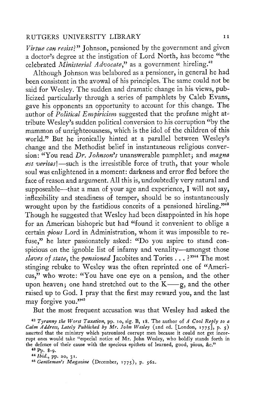*Virtue can resist}"* Johnson, pensioned by the government and given a doctor's degree at the instigation of Lord North, has become "the celebrated *Ministerial Advocate*," as a government hireling.<sup>42</sup>

Although Johnson was belabored as a pensioner, in general he had been consistent in the avowal of his principles. The same could not be said for Wesley. The sudden and dramatic change in his views, publicized particularly through a series of pamphlets by Caleb Evans, gave his opponents an opportunity to account for this change. The author of *Political Empiricism* suggested that the profane might attribute Wesley's sudden political conversion to his corruption "by the mammon of unrighteousness, which is the idol of the children of this world." But he ironically hinted at a parallel between Wesley's change and the Methodist belief in instantaneous religious conver-<br>sion: "You read Dr. Johnson's unanswerable pamphlet; and magna est veritas!-such is the irresistible force of truth, that your whole soul was enlightened in a moment: darkness and error fled before the face of reason and argument. All this is, undoubtedly very natural and face of reason and argument. All this is, undoubtedly very natural and supposeable—that a man of your age and experience, I will not say, inflexibility and steadiness of temper, should be so instantaneously wrought upon by the fastidious conceits of a pensioned hireling."<sup>43</sup> Though he suggested that Wesley had been disappointed in his hope for an American bishopric but had "found it convenient to oblige a certain *pious* Lord in Administration, whom it was impossible to refuse," he later passionately asked: "Do you aspire to stand conspicious on the ignoble list of infamy and venality—amongst those *slaves of state*, the *pensioned* Jacobites and Tories .. . ? "<sup>44</sup> The most stinging rebuke to Wesley was the often reprinted one of "Americus," who wrote: "You have one eye on a pension, and the other upon heaven; one hand stretched out to the  $K \rightarrow g$ , and the other raised up to God. I pray that the first may reward you, and the last may forgive you."<sup>45</sup>

But the most frequent accusation was that Wesley had asked the

*<sup>42</sup> Tyranny the Worst Taxation***, pp. 10, sig. B, 18. The author of** *A Cool Reply to a Calm Address, Lately Published by Mr. John Wesley* **(2nd ed. [London, 1775], p. 5 ) asserted that the ministry which patronized corrupt men because it could not get incorrupt ones would take "especial notice of Mr . John Wesley, who boldly stands forth in the defence of their cause with the specious epithets of learned, good, pious, &c."** 

**<sup>4</sup> 3 Pp. 8-9.** 

*<sup>44</sup> Ibid.,* **pp. 20, 31.** 

*<sup>45</sup> Gentleman<sup>y</sup> s Magazine* **(December, 1775), p. 562.**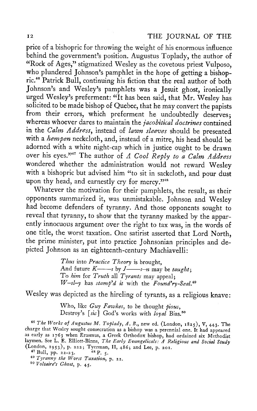price of a bishopric for throwing the weight of his enormous influence behind the government's position. Augustus Toplady, the author of "Rock of Ages," stigmatized Wesley as the covetous priest Vulposo, who plundered Johnson's pamphlet in the hope of getting a bishopric.<sup>46</sup> Patrick Bull, continuing his fiction that the real author of both Johnson's and Wesley's pamphlets was a Jesuit ghost, ironically urged Wesley's preferment: "It has been said, that Mr. Wesley has solicited to be made bishop of Quebec, that he may convert the papists from their errors, which preferment he undoubtedly deserves; whereas whoever dares to maintain the *jacobitical doctrines* contained in the *Calm Address*, instead of *lawn sleeves* should be presented with a *hempen* neckcloth, and, instead of a mitre, his head should be adorned with a white night-cap which in justice ought to be drawn over his eyes."<sup>47</sup> The author of *A Cool Reply to a Calm Address* wondered whether the administration would not reward Wesley with a bishopric but advised him "to sit in sackcloth, and pour dust upon thy head, and earnestly cry for mercy."<sup>48</sup>

Whatever the motivation for their pamphlets, the result, as their opponents summarized it, was unmistakable. Johnson and Wesley had become defenders of tyranny. And those opponents sought to reveal that tyranny, to show that the tyranny masked by the apparently innocuous argument over the right to tax was, in the words of one title, the worst taxation. One satirist asserted that Lord North, the prime minister, put into practice Johnsonian principles and depicted Johnson as an eighteenth-century Machiavelli:

> *Thus* into *Practice Theory* is brought, And future *K* j by *J s-n* may be *taught;*  To *Kim* for *Truth* all *Tyrants* may appeal;  $W$ -sl-y has stamp'd it with the  $Found'ry-Seal.$ <sup>49</sup>

Wesley was depicted as the hireling of tyrants, as a religious knave:

Who, like *Guy Fawkes*, to be thought *fious,*  Destroy's *[sic]* God's works with *loyal* Bias.<sup>50</sup>

*<sup>46</sup> The Works of Augustus M. Toflady, A. B.y* **new ed. (London, 1825), V, 443. The charge that Wesley sought consecration as a bishop was a perennial one. It had appeared as early as 1763 when Erasmus, a Greek Orthodox bishop, had ordained six Methodist laymen. See L. E. Elliott-Binns,** *The Early Evangelicals: A Religious and Social Study*  (London, 1953), p. 2223; Tyerman, II, 486; and Lee, p. 201.<br><sup>47</sup> Bull, pp. 22-23. <sup>48</sup> P. 5.

*<sup>49</sup> Tyranny the Worst Taxation***, p. 22.** 

*<sup>50</sup> Voltaire's Ghost***, p. 45.**